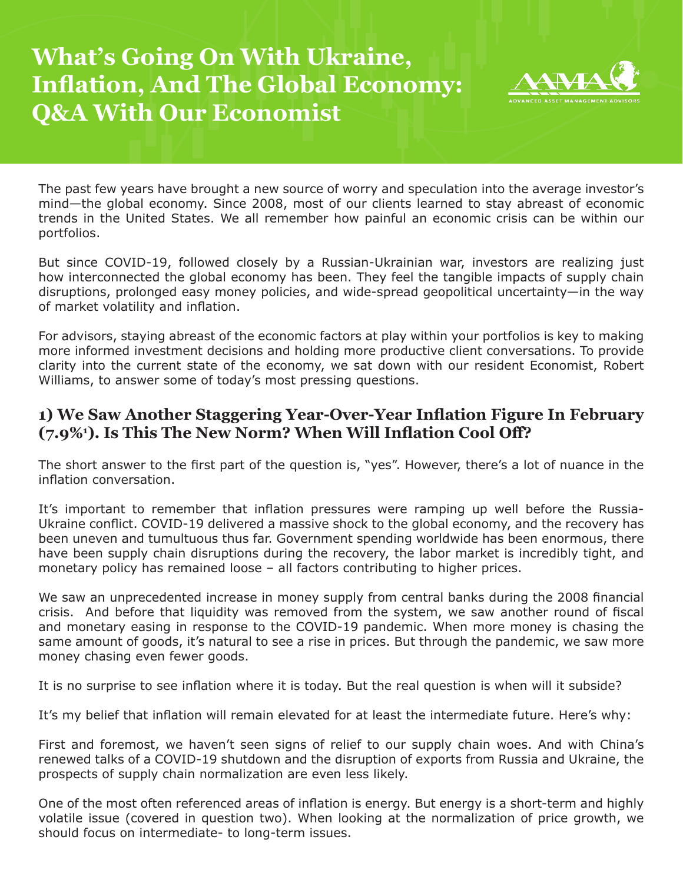# **What's Going On With Ukraine, Inflation, And The Global Economy: Q&A With Our Economist**



The past few years have brought a new source of worry and speculation into the average investor's mind—the global economy. Since 2008, most of our clients learned to stay abreast of economic trends in the United States. We all remember how painful an economic crisis can be within our portfolios.

But since COVID-19, followed closely by a Russian-Ukrainian war, investors are realizing just how interconnected the global economy has been. They feel the tangible impacts of supply chain disruptions, prolonged easy money policies, and wide-spread geopolitical uncertainty—in the way of market volatility and inflation.

For advisors, staying abreast of the economic factors at play within your portfolios is key to making more informed investment decisions and holding more productive client conversations. To provide clarity into the current state of the economy, we sat down with our resident Economist, Robert Williams, to answer some of today's most pressing questions.

## **1) We Saw Another Staggering Year-Over-Year Inflation Figure In February (7.9%1 ). Is This The New Norm? When Will Inflation Cool Off?**

The short answer to the first part of the question is, "yes". However, there's a lot of nuance in the inflation conversation.

It's important to remember that inflation pressures were ramping up well before the Russia-Ukraine conflict. COVID-19 delivered a massive shock to the global economy, and the recovery has been uneven and tumultuous thus far. Government spending worldwide has been enormous, there have been supply chain disruptions during the recovery, the labor market is incredibly tight, and monetary policy has remained loose – all factors contributing to higher prices.

We saw an unprecedented increase in money supply from central banks during the 2008 financial crisis. And before that liquidity was removed from the system, we saw another round of fiscal and monetary easing in response to the COVID-19 pandemic. When more money is chasing the same amount of goods, it's natural to see a rise in prices. But through the pandemic, we saw more money chasing even fewer goods.

It is no surprise to see inflation where it is today. But the real question is when will it subside?

It's my belief that inflation will remain elevated for at least the intermediate future. Here's why:

First and foremost, we haven't seen signs of relief to our supply chain woes. And with China's renewed talks of a COVID-19 shutdown and the disruption of exports from Russia and Ukraine, the prospects of supply chain normalization are even less likely.

One of the most often referenced areas of inflation is energy. But energy is a short-term and highly volatile issue (covered in question two). When looking at the normalization of price growth, we should focus on intermediate- to long-term issues.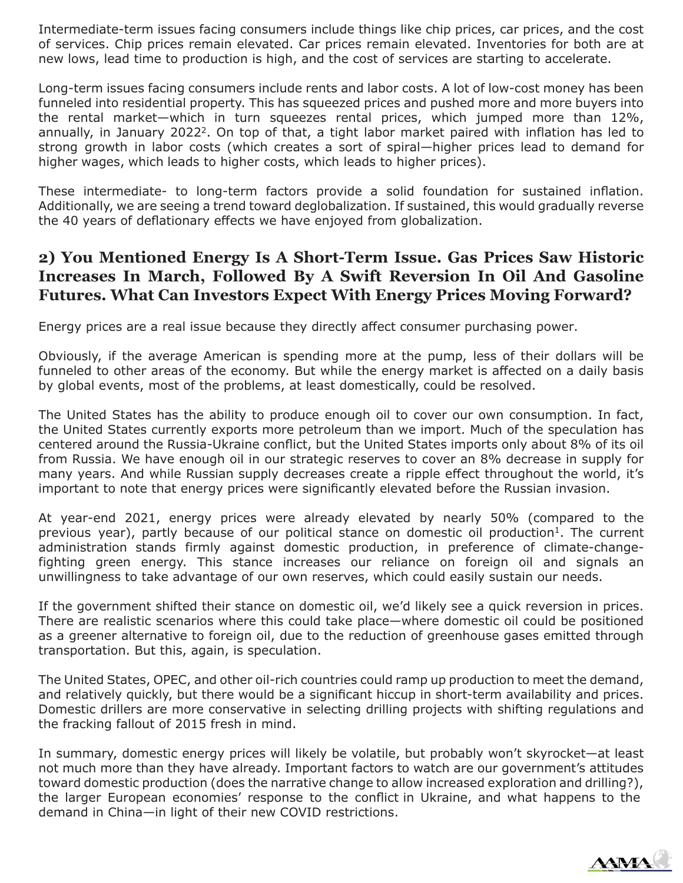Intermediate-term issues facing consumers include things like chip prices, car prices, and the cost of services. Chip prices remain elevated. Car prices remain elevated. Inventories for both are at new lows, lead time to production is high, and the cost of services are starting to accelerate.

Long-term issues facing consumers include rents and labor costs. A lot of low-cost money has been funneled into residential property. This has squeezed prices and pushed more and more buyers into the rental market—which in turn squeezes rental prices, which jumped more than 12%, annually, in January 2022<sup>2</sup>. On top of that, a tight labor market paired with inflation has led to strong growth in labor costs (which creates a sort of spiral—higher prices lead to demand for higher wages, which leads to higher costs, which leads to higher prices).

These intermediate- to long-term factors provide a solid foundation for sustained inflation. Additionally, we are seeing a trend toward deglobalization. If sustained, this would gradually reverse the 40 years of deflationary effects we have enjoyed from globalization.

### **2) You Mentioned Energy Is A Short-Term Issue. Gas Prices Saw Historic Increases In March, Followed By A Swift Reversion In Oil And Gasoline Futures. What Can Investors Expect With Energy Prices Moving Forward?**

Energy prices are a real issue because they directly affect consumer purchasing power.

Obviously, if the average American is spending more at the pump, less of their dollars will be funneled to other areas of the economy. But while the energy market is affected on a daily basis by global events, most of the problems, at least domestically, could be resolved.

The United States has the ability to produce enough oil to cover our own consumption. In fact, the United States currently exports more petroleum than we import. Much of the speculation has centered around the Russia-Ukraine conflict, but the United States imports only about 8% of its oil from Russia. We have enough oil in our strategic reserves to cover an 8% decrease in supply for many years. And while Russian supply decreases create a ripple effect throughout the world, it's important to note that energy prices were significantly elevated before the Russian invasion.

At year-end 2021, energy prices were already elevated by nearly 50% (compared to the previous year), partly because of our political stance on domestic oil production<sup>1</sup>. The current administration stands firmly against domestic production, in preference of climate-changefighting green energy. This stance increases our reliance on foreign oil and signals an unwillingness to take advantage of our own reserves, which could easily sustain our needs.

If the government shifted their stance on domestic oil, we'd likely see a quick reversion in prices. There are realistic scenarios where this could take place—where domestic oil could be positioned as a greener alternative to foreign oil, due to the reduction of greenhouse gases emitted through transportation. But this, again, is speculation.

The United States, OPEC, and other oil-rich countries could ramp up production to meet the demand, and relatively quickly, but there would be a significant hiccup in short-term availability and prices. Domestic drillers are more conservative in selecting drilling projects with shifting regulations and the fracking fallout of 2015 fresh in mind.

In summary, domestic energy prices will likely be volatile, but probably won't skyrocket—at least not much more than they have already. Important factors to watch are our government's attitudes toward domestic production (does the narrative change to allow increased exploration and drilling?), the larger European economies' response to the conflict in Ukraine, and what happens to the demand in China—in light of their new COVID restrictions.